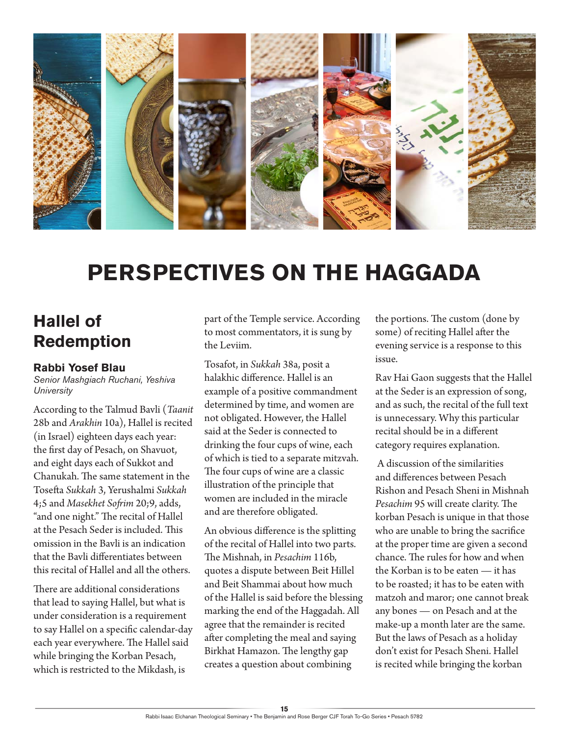

# **PERSPECTIVES ON THE HAGGADA**

### **Hallel of Redemption**

#### **Rabbi Yosef Blau**

*Senior Mashgiach Ruchani, Yeshiva University*

According to the Talmud Bavli (*Taanit* 28b and *Arakhin* 10a), Hallel is recited (in Israel) eighteen days each year: the first day of Pesach, on Shavuot, and eight days each of Sukkot and Chanukah. The same statement in the Tosefta *Sukkah* 3, Yerushalmi *Sukkah* 4;5 and *Masekhet Sofrim* 20;9, adds, "and one night." The recital of Hallel at the Pesach Seder is included. This omission in the Bavli is an indication that the Bavli differentiates between this recital of Hallel and all the others.

There are additional considerations that lead to saying Hallel, but what is under consideration is a requirement to say Hallel on a specific calendar-day each year everywhere. The Hallel said while bringing the Korban Pesach, which is restricted to the Mikdash, is

part of the Temple service. According to most commentators, it is sung by the Leviim.

Tosafot, in *Sukkah* 38a, posit a halakhic difference. Hallel is an example of a positive commandment determined by time, and women are not obligated. However, the Hallel said at the Seder is connected to drinking the four cups of wine, each of which is tied to a separate mitzvah. The four cups of wine are a classic illustration of the principle that women are included in the miracle and are therefore obligated.

An obvious difference is the splitting of the recital of Hallel into two parts. The Mishnah, in *Pesachim* 116b, quotes a dispute between Beit Hillel and Beit Shammai about how much of the Hallel is said before the blessing marking the end of the Haggadah. All agree that the remainder is recited after completing the meal and saying Birkhat Hamazon. The lengthy gap creates a question about combining

the portions. The custom (done by some) of reciting Hallel after the evening service is a response to this issue.

Rav Hai Gaon suggests that the Hallel at the Seder is an expression of song, and as such, the recital of the full text is unnecessary. Why this particular recital should be in a different category requires explanation.

 A discussion of the similarities and differences between Pesach Rishon and Pesach Sheni in Mishnah *Pesachim* 95 will create clarity. The korban Pesach is unique in that those who are unable to bring the sacrifice at the proper time are given a second chance. The rules for how and when the Korban is to be eaten — it has to be roasted; it has to be eaten with matzoh and maror; one cannot break any bones — on Pesach and at the make-up a month later are the same. But the laws of Pesach as a holiday don't exist for Pesach Sheni. Hallel is recited while bringing the korban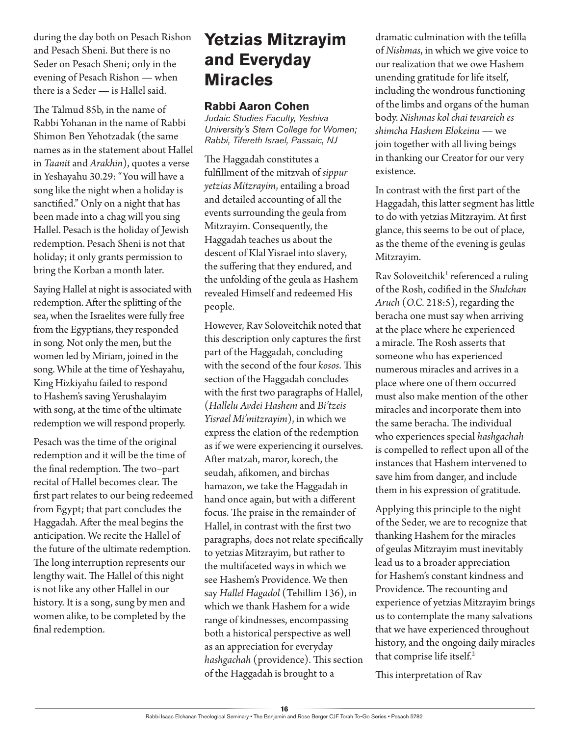during the day both on Pesach Rishon and Pesach Sheni. But there is no Seder on Pesach Sheni; only in the evening of Pesach Rishon — when there is a Seder — is Hallel said.

The Talmud 85b, in the name of Rabbi Yohanan in the name of Rabbi Shimon Ben Yehotzadak (the same names as in the statement about Hallel in *Taanit* and *Arakhin*), quotes a verse in Yeshayahu 30.29: "You will have a song like the night when a holiday is sanctified." Only on a night that has been made into a chag will you sing Hallel. Pesach is the holiday of Jewish redemption. Pesach Sheni is not that holiday; it only grants permission to bring the Korban a month later.

Saying Hallel at night is associated with redemption. After the splitting of the sea, when the Israelites were fully free from the Egyptians, they responded in song. Not only the men, but the women led by Miriam, joined in the song. While at the time of Yeshayahu, King Hizkiyahu failed to respond to Hashem's saving Yerushalayim with song, at the time of the ultimate redemption we will respond properly.

Pesach was the time of the original redemption and it will be the time of the final redemption. The two–part recital of Hallel becomes clear. The first part relates to our being redeemed from Egypt; that part concludes the Haggadah. After the meal begins the anticipation. We recite the Hallel of the future of the ultimate redemption. The long interruption represents our lengthy wait. The Hallel of this night is not like any other Hallel in our history. It is a song, sung by men and women alike, to be completed by the final redemption.

### **Yetzias Mitzrayim and Everyday Miracles**

### **Rabbi Aaron Cohen**

*Judaic Studies Faculty, Yeshiva University's Stern College for Women; Rabbi, Tifereth Israel, Passaic, NJ*

The Haggadah constitutes a fulfillment of the mitzvah of *sippur yetzias Mitzrayim*, entailing a broad and detailed accounting of all the events surrounding the geula from Mitzrayim. Consequently, the Haggadah teaches us about the descent of Klal Yisrael into slavery, the suffering that they endured, and the unfolding of the geula as Hashem revealed Himself and redeemed His people.

However, Rav Soloveitchik noted that this description only captures the first part of the Haggadah, concluding with the second of the four *kosos*. This section of the Haggadah concludes with the first two paragraphs of Hallel, (*Hallelu Avdei Hashem* and *Bi'tzeis Yisrael Mi'mitzrayim*), in which we express the elation of the redemption as if we were experiencing it ourselves. After matzah, maror, korech, the seudah, afikomen, and birchas hamazon, we take the Haggadah in hand once again, but with a different focus. The praise in the remainder of Hallel, in contrast with the first two paragraphs, does not relate specifically to yetzias Mitzrayim, but rather to the multifaceted ways in which we see Hashem's Providence. We then say *Hallel Hagadol* (Tehillim 136), in which we thank Hashem for a wide range of kindnesses, encompassing both a historical perspective as well as an appreciation for everyday *hashgachah* (providence). This section of the Haggadah is brought to a

dramatic culmination with the tefilla of *Nishmas*, in which we give voice to our realization that we owe Hashem unending gratitude for life itself, including the wondrous functioning of the limbs and organs of the human body. *Nishmas kol chai tevareich es shimcha Hashem Elokeinu* — we join together with all living beings in thanking our Creator for our very existence.

In contrast with the first part of the Haggadah, this latter segment has little to do with yetzias Mitzrayim. At first glance, this seems to be out of place, as the theme of the evening is geulas Mitzrayim.

Rav Soloveitchik<sup>1</sup> referenced a ruling of the Rosh, codified in the *Shulchan Aruch* (*O.C.* 218:5), regarding the beracha one must say when arriving at the place where he experienced a miracle. The Rosh asserts that someone who has experienced numerous miracles and arrives in a place where one of them occurred must also make mention of the other miracles and incorporate them into the same beracha. The individual who experiences special *hashgachah* is compelled to reflect upon all of the instances that Hashem intervened to save him from danger, and include them in his expression of gratitude.

Applying this principle to the night of the Seder, we are to recognize that thanking Hashem for the miracles of geulas Mitzrayim must inevitably lead us to a broader appreciation for Hashem's constant kindness and Providence. The recounting and experience of yetzias Mitzrayim brings us to contemplate the many salvations that we have experienced throughout history, and the ongoing daily miracles that comprise life itself.<sup>2</sup>

This interpretation of Rav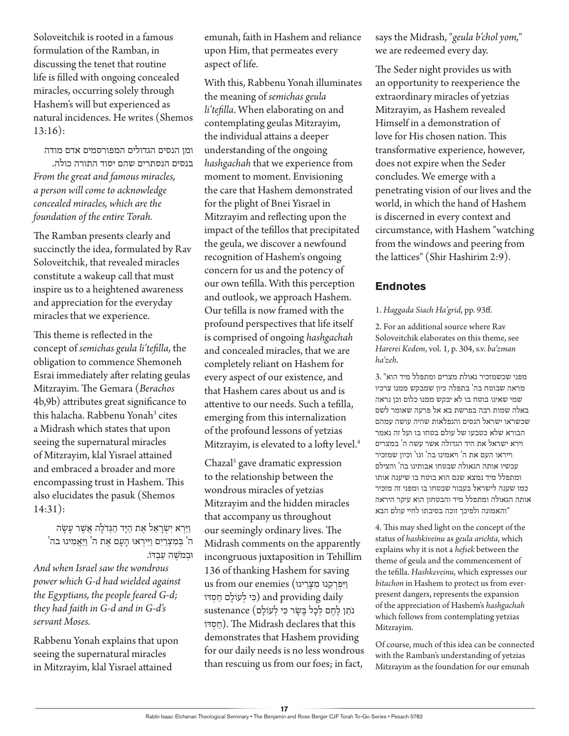Soloveitchik is rooted in a famous formulation of the Ramban, in discussing the tenet that routine life is filled with ongoing concealed miracles, occurring solely through Hashem's will but experienced as natural incidences. He writes (Shemos 13:16):

ומן הנסים הגדולים המפורסמים אדם מודה

בנסים הנסתרים שהם יסוד התורה כולה. *From the great and famous miracles, a person will come to acknowledge concealed miracles, which are the foundation of the entire Torah.*

The Ramban presents clearly and succinctly the idea, formulated by Rav Soloveitchik, that revealed miracles constitute a wakeup call that must inspire us to a heightened awareness and appreciation for the everyday miracles that we experience.

This theme is reflected in the concept of *semichas geula li'tefilla*, the obligation to commence Shemoneh Esrai immediately after relating geulas Mitzrayim. The Gemara (*Berachos* 4b,9b) attributes great significance to this halacha. Rabbenu Yonah<sup>3</sup> cites a Midrash which states that upon seeing the supernatural miracles of Mitzrayim, klal Yisrael attained and embraced a broader and more encompassing trust in Hashem. This also elucidates the pasuk (Shemos 14:31):

 וַ ּיַ רְ א יִׂש ְ רָ אֵ ל אֶ ת הַ ּיָ ד הַ ּגְ דֹלָ ה אֲ ׁשֶ ר עָ ׂשָ ה 'ה<sup>'</sup> בִמְצְרַיִם וַיִּירְאוּ הָעָם אֶת ה<sup>'</sup> וַיַּאֲמִינוּ בה וּבְמ*ֹשֶׁ*ה עַבְדֹו.

*And when Israel saw the wondrous power which G-d had wielded against the Egyptians, the people feared G-d; they had faith in G-d and in G-d's servant Moses.*

Rabbenu Yonah explains that upon seeing the supernatural miracles in Mitzrayim, klal Yisrael attained

emunah, faith in Hashem and reliance upon Him, that permeates every aspect of life.

With this, Rabbenu Yonah illuminates the meaning of *semichas geula li'tefilla*. When elaborating on and contemplating geulas Mitzrayim, the individual attains a deeper understanding of the ongoing *hashgachah* that we experience from moment to moment. Envisioning the care that Hashem demonstrated for the plight of Bnei Yisrael in Mitzrayim and reflecting upon the impact of the tefillos that precipitated the geula, we discover a newfound recognition of Hashem's ongoing concern for us and the potency of our own tefilla. With this perception and outlook, we approach Hashem. Our tefilla is now framed with the profound perspectives that life itself is comprised of ongoing *hashgachah* and concealed miracles, that we are completely reliant on Hashem for every aspect of our existence, and that Hashem cares about us and is attentive to our needs. Such a tefilla, emerging from this internalization of the profound lessons of yetzias Mitzrayim, is elevated to a lofty level.<sup>4</sup>

Chazal<sup>5</sup> gave dramatic expression to the relationship between the wondrous miracles of yetzias Mitzrayim and the hidden miracles that accompany us throughout our seemingly ordinary lives. The Midrash comments on the apparently incongruous juxtaposition in Tehillim 136 of thanking Hashem for saving us from our enemies (יִיפְרְקֵנוּ מִצְרֵינוּ וֹבִי לְעוֹלָם חַסְדּוֹ and providing daily נֹתֵ ן לֶ חֶ ם לְ כָל ּבָ ׂשָ ר ּכִ י לְ עֹולָ ם) sustenance וֹדּ ְס ַח(. The Midrash declares that this demonstrates that Hashem providing for our daily needs is no less wondrous than rescuing us from our foes; in fact,

says the Midrash, "*geula b'chol yom,*" we are redeemed every day.

The Seder night provides us with an opportunity to reexperience the extraordinary miracles of yetzias Mitzrayim, as Hashem revealed Himself in a demonstration of love for His chosen nation. This transformative experience, however, does not expire when the Seder concludes. We emerge with a penetrating vision of our lives and the world, in which the hand of Hashem is discerned in every context and circumstance, with Hashem "watching from the windows and peering from the lattices" (Shir Hashirim 2:9).

### **Endnotes**

#### 1. *Haggada Siach Ha'grid*, pp. 93ff.

2. For an additional source where Rav Soloveitchik elaborates on this theme, see *Harerei Kedem*, vol. 1, p. 304, s.v. *ba'zman ha'zeh*.

מפני שכשמזכיר גאולת מצרים ומתפלל מיד הוא" 3. מראה שבוטח בה' בתפלה כיון שמבקש ממנו צרכיו שמי שאינו בוטח בו לא יבקש ממנו כלום וכן נראה באלה שמות רבה בפרשת בא אל פרעה שאומר לשם שכשראו ישראל הנסים והנפלאות שהיה עושה עמהם הבורא שלא כטבעו של עולם בטחו בו ועל זה נאמר וירא ישראל את היד הגדולה אשר עשה ה' במצרים וייראו העם את ה' ויאמינו בה' וגו' וכיון שמזכיר עכשיו אותה הגאולה שבטחו אבותינו בה' והצילם ומתפלל מיד נמצא שגם הוא בוטח בו שיענה אותו כמו שענה לישראל בעבור שבטחו בו ומפני זה מזכיר אותה הגאולה ומתפלל מיד והבטחון הוא עיקר היראה "והאמונה ולפיכך זוכה בסיבתו לחיי עולם הבא

4. This may shed light on the concept of the status of *hashkiveinu* as *geula arichta*, which explains why it is not a *hefsek* between the theme of geula and the commencement of the tefilla. *Hashkeveinu*, which expresses our *bitachon* in Hashem to protect us from everpresent dangers, represents the expansion of the appreciation of Hashem's *hashgachah* which follows from contemplating yetzias Mitzrayim.

Of course, much of this idea can be connected with the Ramban's understanding of yetzias Mitzrayim as the foundation for our emunah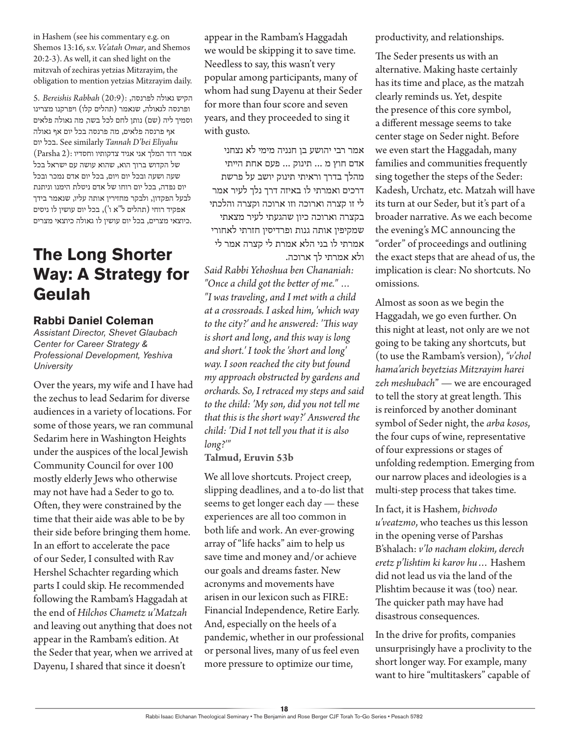in Hashem (see his commentary e.g. on Shemos 13:16, s.v. *Ve'atah Omar*, and Shemos 20:2-3). As well, it can shed light on the mitzvah of zechiras yetzias Mitzrayim, the obligation to mention yetzias Mitzrayim daily.

הקיש גאולה לפרנסה, :(20:9) *Rabbah Bereishis* 5. ופרנסה לגאולה, שנאמר (תהלים קלו) ויפרקנו מצרינו וסמיך ליה )שם( נותן לחם לכל בשר, מה גאולה פלאים אף פרנסה פלאים, מה פרנסה בכל יום אף גאולה יום בכל. See similarly *Tannah D'bei Eliyahu* אמר דוד המלך אני אגיד צדקותיו וחסדיו :(2 Parsha( של הקדוש ברוך הוא, שהוא עושה עם ישראל בכל שעה ושעה ובכל יום ויום, בכל יום אדם נמכר ובכל יום נפדה, בכל יום רוחו של אדם ניטלת הימנו וניתנת לבעל הפקדון, ולבקר מחזירין אותה עליו, שנאמר בידך אפקיד רוחי )תהלים ל"א ו'(, בכל יום עושין לו ניסים .כיוצאי מצרים, בכל יום עושין לו גאולה כיוצאי מצרים

# **The Long Shorter Way: A Strategy for Geulah**

### **Rabbi Daniel Coleman**

*Assistant Director, Shevet Glaubach Center for Career Strategy & Professional Development, Yeshiva University*

Over the years, my wife and I have had the zechus to lead Sedarim for diverse audiences in a variety of locations. For some of those years, we ran communal Sedarim here in Washington Heights under the auspices of the local Jewish Community Council for over 100 mostly elderly Jews who otherwise may not have had a Seder to go to. Often, they were constrained by the time that their aide was able to be by their side before bringing them home. In an effort to accelerate the pace of our Seder, I consulted with Rav Hershel Schachter regarding which parts I could skip. He recommended following the Rambam's Haggadah at the end of *Hilchos Chametz u'Matzah* and leaving out anything that does not appear in the Rambam's edition. At the Seder that year, when we arrived at Dayenu, I shared that since it doesn't

appear in the Rambam's Haggadah we would be skipping it to save time. Needless to say, this wasn't very popular among participants, many of whom had sung Dayenu at their Seder for more than four score and seven years, and they proceeded to sing it with gusto.

אמר רבי יהושע בן חנניה מימי לא נצחני אדם חוץ מ ... תינוק ... פעם אחת הייתי מהלך בדרך וראיתי תינוק יושב על פרשת דרכים ואמרתי לו באיזה דרך נלך לעיר אמר לי זו קצרה וארוכה וזו ארוכה וקצרה והלכתי בקצרה וארוכה כיון שהגעתי לעיר מצאתי שמקיפין אותה גנות ופרדיסין חזרתי לאחורי אמרתי לו בני הלא אמרת לי קצרה אמר לי ולא אמרתי לך ארוכה.

*Said Rabbi Yehoshua ben Chananiah: "Once a child got the better of me." … "I was traveling, and I met with a child at a crossroads. I asked him, 'which way to the city?' and he answered: 'This way is short and long, and this way is long and short.' I took the 'short and long' way. I soon reached the city but found my approach obstructed by gardens and orchards. So, I retraced my steps and said to the child: 'My son, did you not tell me that this is the short way?' Answered the child: 'Did I not tell you that it is also long?'"*

#### **Talmud, Eruvin 53b**

We all love shortcuts. Project creep, slipping deadlines, and a to-do list that seems to get longer each day — these experiences are all too common in both life and work. An ever-growing array of "life hacks" aim to help us save time and money and/or achieve our goals and dreams faster. New acronyms and movements have arisen in our lexicon such as FIRE: Financial Independence, Retire Early. And, especially on the heels of a pandemic, whether in our professional or personal lives, many of us feel even more pressure to optimize our time,

productivity, and relationships.

The Seder presents us with an alternative. Making haste certainly has its time and place, as the matzah clearly reminds us. Yet, despite the presence of this core symbol, a different message seems to take center stage on Seder night. Before we even start the Haggadah, many families and communities frequently sing together the steps of the Seder: Kadesh, Urchatz, etc. Matzah will have its turn at our Seder, but it's part of a broader narrative. As we each become the evening's MC announcing the "order" of proceedings and outlining the exact steps that are ahead of us, the implication is clear: No shortcuts. No omissions.

Almost as soon as we begin the Haggadah, we go even further. On this night at least, not only are we not going to be taking any shortcuts, but (to use the Rambam's version), *"v'chol hama'arich beyetzias Mitzrayim harei zeh meshubach*" — we are encouraged to tell the story at great length. This is reinforced by another dominant symbol of Seder night, the *arba kosos*, the four cups of wine, representative of four expressions or stages of unfolding redemption. Emerging from our narrow places and ideologies is a multi-step process that takes time.

In fact, it is Hashem, *bichvodo u'veatzmo*, who teaches us this lesson in the opening verse of Parshas B'shalach: *v'lo nacham elokim, derech eretz p'lishtim ki karov hu*… Hashem did not lead us via the land of the Plishtim because it was (too) near. The quicker path may have had disastrous consequences.

In the drive for profits, companies unsurprisingly have a proclivity to the short longer way. For example, many want to hire "multitaskers" capable of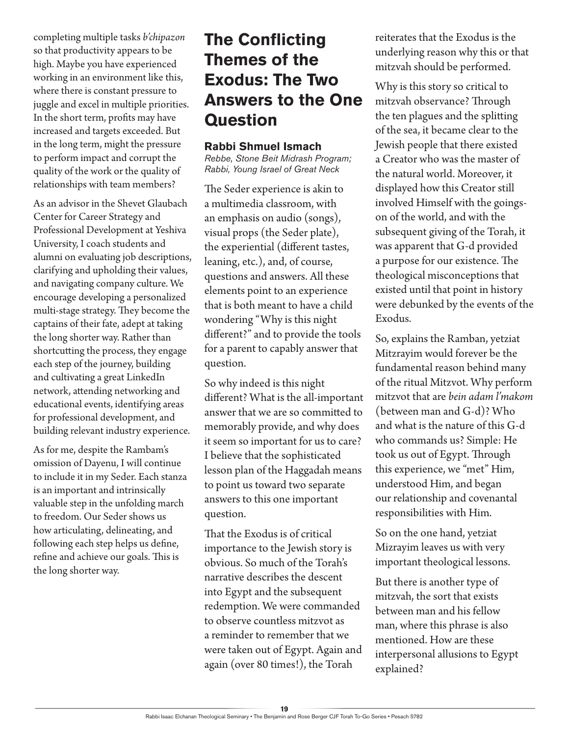completing multiple tasks *b'chipazon* so that productivity appears to be high. Maybe you have experienced working in an environment like this, where there is constant pressure to juggle and excel in multiple priorities. In the short term, profits may have increased and targets exceeded. But in the long term, might the pressure to perform impact and corrupt the quality of the work or the quality of relationships with team members?

As an advisor in the Shevet Glaubach Center for Career Strategy and Professional Development at Yeshiva University, I coach students and alumni on evaluating job descriptions, clarifying and upholding their values, and navigating company culture. We encourage developing a personalized multi-stage strategy. They become the captains of their fate, adept at taking the long shorter way. Rather than shortcutting the process, they engage each step of the journey, building and cultivating a great LinkedIn network, attending networking and educational events, identifying areas for professional development, and building relevant industry experience.

As for me, despite the Rambam's omission of Dayenu, I will continue to include it in my Seder. Each stanza is an important and intrinsically valuable step in the unfolding march to freedom. Our Seder shows us how articulating, delineating, and following each step helps us define, refine and achieve our goals. This is the long shorter way.

# **The Conflicting Themes of the Exodus: The Two Answers to the One Question**

### **Rabbi Shmuel Ismach**

*Rebbe, Stone Beit Midrash Program; Rabbi, Young Israel of Great Neck*

The Seder experience is akin to a multimedia classroom, with an emphasis on audio (songs), visual props (the Seder plate), the experiential (different tastes, leaning, etc.), and, of course, questions and answers. All these elements point to an experience that is both meant to have a child wondering "Why is this night different?" and to provide the tools for a parent to capably answer that question.

So why indeed is this night different? What is the all-important answer that we are so committed to memorably provide, and why does it seem so important for us to care? I believe that the sophisticated lesson plan of the Haggadah means to point us toward two separate answers to this one important question.

That the Exodus is of critical importance to the Jewish story is obvious. So much of the Torah's narrative describes the descent into Egypt and the subsequent redemption. We were commanded to observe countless mitzvot as a reminder to remember that we were taken out of Egypt. Again and again (over 80 times!), the Torah

reiterates that the Exodus is the underlying reason why this or that mitzvah should be performed.

Why is this story so critical to mitzvah observance? Through the ten plagues and the splitting of the sea, it became clear to the Jewish people that there existed a Creator who was the master of the natural world. Moreover, it displayed how this Creator still involved Himself with the goingson of the world, and with the subsequent giving of the Torah, it was apparent that G-d provided a purpose for our existence. The theological misconceptions that existed until that point in history were debunked by the events of the Exodus.

So, explains the Ramban, yetziat Mitzrayim would forever be the fundamental reason behind many of the ritual Mitzvot. Why perform mitzvot that are *bein adam l'makom* (between man and G-d)? Who and what is the nature of this G-d who commands us? Simple: He took us out of Egypt. Through this experience, we "met" Him, understood Him, and began our relationship and covenantal responsibilities with Him.

So on the one hand, yetziat Mizrayim leaves us with very important theological lessons.

But there is another type of mitzvah, the sort that exists between man and his fellow man, where this phrase is also mentioned. How are these interpersonal allusions to Egypt explained?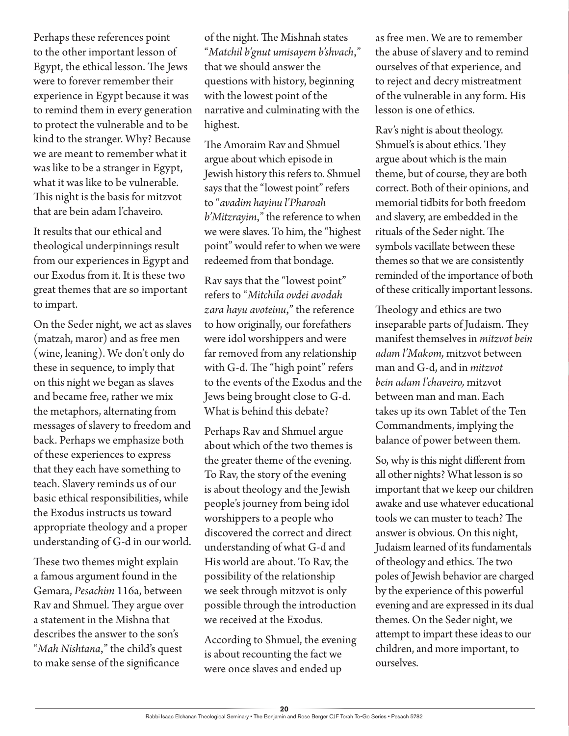Perhaps these references point to the other important lesson of Egypt, the ethical lesson. The Jews were to forever remember their experience in Egypt because it was to remind them in every generation to protect the vulnerable and to be kind to the stranger. Why? Because we are meant to remember what it was like to be a stranger in Egypt, what it was like to be vulnerable. This night is the basis for mitzvot that are bein adam l'chaveiro.

It results that our ethical and theological underpinnings result from our experiences in Egypt and our Exodus from it. It is these two great themes that are so important to impart.

On the Seder night, we act as slaves (matzah, maror) and as free men (wine, leaning). We don't only do these in sequence, to imply that on this night we began as slaves and became free, rather we mix the metaphors, alternating from messages of slavery to freedom and back. Perhaps we emphasize both of these experiences to express that they each have something to teach. Slavery reminds us of our basic ethical responsibilities, while the Exodus instructs us toward appropriate theology and a proper understanding of G-d in our world.

These two themes might explain a famous argument found in the Gemara, *Pesachim* 116a, between Rav and Shmuel. They argue over a statement in the Mishna that describes the answer to the son's "*Mah Nishtana*," the child's quest to make sense of the significance

of the night. The Mishnah states "*Matchil b'gnut umisayem b'shvach*," that we should answer the questions with history, beginning with the lowest point of the narrative and culminating with the highest.

The Amoraim Rav and Shmuel argue about which episode in Jewish history this refers to. Shmuel says that the "lowest point" refers to "*avadim hayinu l'Pharoah b'Mitzrayim*," the reference to when we were slaves. To him, the "highest point" would refer to when we were redeemed from that bondage.

Rav says that the "lowest point" refers to "*Mitchila ovdei avodah zara hayu avoteinu*," the reference to how originally, our forefathers were idol worshippers and were far removed from any relationship with G-d. The "high point" refers to the events of the Exodus and the Jews being brought close to G-d. What is behind this debate?

Perhaps Rav and Shmuel argue about which of the two themes is the greater theme of the evening. To Rav, the story of the evening is about theology and the Jewish people's journey from being idol worshippers to a people who discovered the correct and direct understanding of what G-d and His world are about. To Rav, the possibility of the relationship we seek through mitzvot is only possible through the introduction we received at the Exodus.

According to Shmuel, the evening is about recounting the fact we were once slaves and ended up

as free men. We are to remember the abuse of slavery and to remind ourselves of that experience, and to reject and decry mistreatment of the vulnerable in any form. His lesson is one of ethics.

Rav's night is about theology. Shmuel's is about ethics. They argue about which is the main theme, but of course, they are both correct. Both of their opinions, and memorial tidbits for both freedom and slavery, are embedded in the rituals of the Seder night. The symbols vacillate between these themes so that we are consistently reminded of the importance of both of these critically important lessons.

Theology and ethics are two inseparable parts of Judaism. They manifest themselves in *mitzvot bein adam l'Makom,* mitzvot between man and G-d, and in *mitzvot bein adam l'chaveiro,* mitzvot between man and man. Each takes up its own Tablet of the Ten Commandments, implying the balance of power between them.

So, why is this night different from all other nights? What lesson is so important that we keep our children awake and use whatever educational tools we can muster to teach? The answer is obvious. On this night, Judaism learned of its fundamentals of theology and ethics. The two poles of Jewish behavior are charged by the experience of this powerful evening and are expressed in its dual themes. On the Seder night, we attempt to impart these ideas to our children, and more important, to ourselves.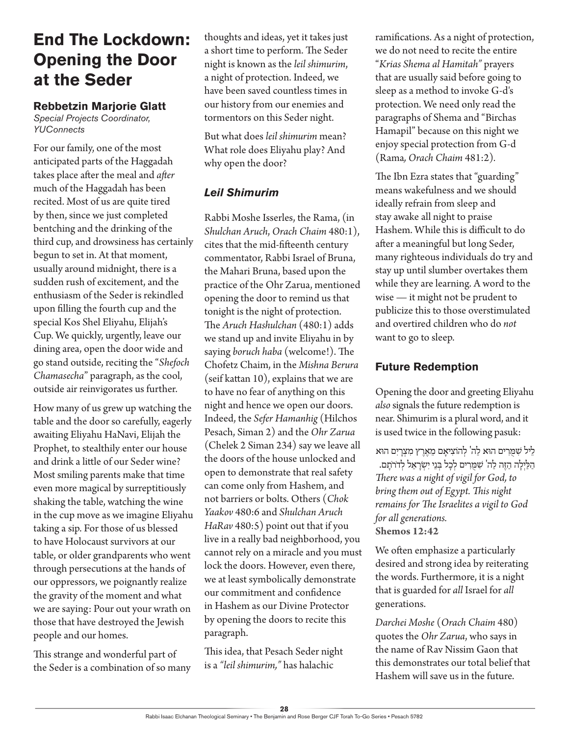### **End The Lockdown: Opening the Door at the Seder**

### **Rebbetzin Marjorie Glatt**

*Special Projects Coordinator, YUConnects*

For our family, one of the most anticipated parts of the Haggadah takes place after the meal and *after* much of the Haggadah has been recited. Most of us are quite tired by then, since we just completed bentching and the drinking of the third cup, and drowsiness has certainly begun to set in. At that moment, usually around midnight, there is a sudden rush of excitement, and the enthusiasm of the Seder is rekindled upon filling the fourth cup and the special Kos Shel Eliyahu, Elijah's Cup. We quickly, urgently, leave our dining area, open the door wide and go stand outside, reciting the "*Shefoch Chamasecha*" paragraph, as the cool, outside air reinvigorates us further.

How many of us grew up watching the table and the door so carefully, eagerly awaiting Eliyahu HaNavi, Elijah the Prophet, to stealthily enter our house and drink a little of our Seder wine? Most smiling parents make that time even more magical by surreptitiously shaking the table, watching the wine in the cup move as we imagine Eliyahu taking a sip. For those of us blessed to have Holocaust survivors at our table, or older grandparents who went through persecutions at the hands of our oppressors, we poignantly realize the gravity of the moment and what we are saying: Pour out your wrath on those that have destroyed the Jewish people and our homes.

This strange and wonderful part of the Seder is a combination of so many thoughts and ideas, yet it takes just a short time to perform. The Seder night is known as the *leil shimurim*, a night of protection. Indeed, we have been saved countless times in our history from our enemies and tormentors on this Seder night.

But what does *leil shimurim* mean? What role does Eliyahu play? And why open the door?

### *Leil Shimurim*

Rabbi Moshe Isserles, the Rama, (in *Shulchan Aruch*, *Orach Chaim* 480:1), cites that the mid-fifteenth century commentator, Rabbi Israel of Bruna, the Mahari Bruna, based upon the practice of the Ohr Zarua, mentioned opening the door to remind us that tonight is the night of protection. The *Aruch Hashulchan* (480:1) adds we stand up and invite Eliyahu in by saying *boruch haba* (welcome!). The Chofetz Chaim, in the *Mishna Berura* (seif kattan 10), explains that we are to have no fear of anything on this night and hence we open our doors. Indeed, the *Sefer Hamanhig* (Hilchos Pesach, Siman 2) and the *Ohr Zarua* (Chelek 2 Siman 234) say we leave all the doors of the house unlocked and open to demonstrate that real safety can come only from Hashem, and not barriers or bolts. Others (*Chok Yaakov* 480:6 and *Shulchan Aruch HaRav* 480:5) point out that if you live in a really bad neighborhood, you cannot rely on a miracle and you must lock the doors. However, even there, we at least symbolically demonstrate our commitment and confidence in Hashem as our Divine Protector by opening the doors to recite this paragraph.

This idea, that Pesach Seder night is a *"leil shimurim,"* has halachic

ramifications. As a night of protection, we do not need to recite the entire "*Krias Shema al Hamitah"* prayers that are usually said before going to sleep as a method to invoke G-d's protection. We need only read the paragraphs of Shema and "Birchas Hamapil" because on this night we enjoy special protection from G-d (Rama*, Orach Chaim* 481:2)*.*

The Ibn Ezra states that "guarding" means wakefulness and we should ideally refrain from sleep and stay awake all night to praise Hashem. While this is difficult to do after a meaningful but long Seder, many righteous individuals do try and stay up until slumber overtakes them while they are learning. A word to the wise — it might not be prudent to publicize this to those overstimulated and overtired children who do *not* want to go to sleep.

### **Future Redemption**

Opening the door and greeting Eliyahu *also* signals the future redemption is near. Shimurim is a plural word, and it is used twice in the following pasuk:

לִיל שִׁמַרִים הוּא לַה' לְהוֹצִיאַם מֵאֶרֶץ מִצְרַיִם הוּא ַהלַ יְלָ ה הַ זֶה לַ ה' ש ִ מֻ רִ ים לְ כָ ל ב ְ נֵי יִשְ רָ אֵ ל לְ דֹרֹתָ ם. *There was a night of vigil for God, to bring them out of Egypt. This night remains for The Israelites a vigil to God for all generations.* **Shemos 12:42**

We often emphasize a particularly desired and strong idea by reiterating the words. Furthermore, it is a night that is guarded for *all* Israel for *all* generations.

*Darchei Moshe* (*Orach Chaim* 480) quotes the *Ohr Zarua*, who says in the name of Rav Nissim Gaon that this demonstrates our total belief that Hashem will save us in the future.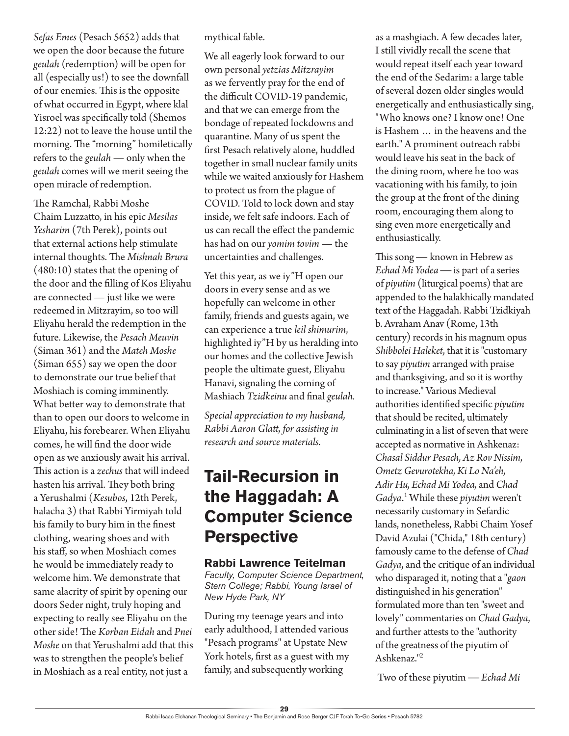*Sefas Emes* (Pesach 5652) adds that we open the door because the future *geulah* (redemption) will be open for all (especially us!) to see the downfall of our enemies. This is the opposite of what occurred in Egypt, where klal Yisroel was specifically told (Shemos 12:22) not to leave the house until the morning. The "morning" homiletically refers to the *geulah* — only when the *geulah* comes will we merit seeing the open miracle of redemption.

The Ramchal, Rabbi Moshe Chaim Luzzatto, in his epic *Mesilas Yesharim* (7th Perek), points out that external actions help stimulate internal thoughts. The *Mishnah Brura* (480:10) states that the opening of the door and the filling of Kos Eliyahu are connected — just like we were redeemed in Mitzrayim, so too will Eliyahu herald the redemption in the future. Likewise, the *Pesach Meuvin* (Siman 361) and the *Mateh Moshe* (Siman 655) say we open the door to demonstrate our true belief that Moshiach is coming imminently. What better way to demonstrate that than to open our doors to welcome in Eliyahu, his forebearer. When Eliyahu comes, he will find the door wide open as we anxiously await his arrival. This action is a *zechus* that will indeed hasten his arrival. They both bring a Yerushalmi (*Kesubos*, 12th Perek, halacha 3) that Rabbi Yirmiyah told his family to bury him in the finest clothing, wearing shoes and with his staff, so when Moshiach comes he would be immediately ready to welcome him. We demonstrate that same alacrity of spirit by opening our doors Seder night, truly hoping and expecting to really see Eliyahu on the other side! The *Korban Eidah* and *Pnei Moshe* on that Yerushalmi add that this was to strengthen the people's belief in Moshiach as a real entity, not just a

mythical fable.

We all eagerly look forward to our own personal *yetzias Mitzrayim* as we fervently pray for the end of the difficult COVID-19 pandemic, and that we can emerge from the bondage of repeated lockdowns and quarantine. Many of us spent the first Pesach relatively alone, huddled together in small nuclear family units while we waited anxiously for Hashem to protect us from the plague of COVID. Told to lock down and stay inside, we felt safe indoors. Each of us can recall the effect the pandemic has had on our *yomim tovim* — the uncertainties and challenges.

Yet this year, as we iy"H open our doors in every sense and as we hopefully can welcome in other family, friends and guests again, we can experience a true *leil shimurim*, highlighted iy"H by us heralding into our homes and the collective Jewish people the ultimate guest, Eliyahu Hanavi, signaling the coming of Mashiach *Tzidkeinu* and final *geulah.*

*Special appreciation to my husband, Rabbi Aaron Glatt, for assisting in research and source materials.*

### **Tail-Recursion in the Haggadah: A Computer Science Perspective**

#### **Rabbi Lawrence Teitelman**

*Faculty, Computer Science Department, Stern College; Rabbi, Young Israel of New Hyde Park, NY*

During my teenage years and into early adulthood, I attended various "Pesach programs" at Upstate New York hotels, first as a guest with my family, and subsequently working

as a mashgiach. A few decades later, I still vividly recall the scene that would repeat itself each year toward the end of the Sedarim: a large table of several dozen older singles would energetically and enthusiastically sing, "Who knows one? I know one! One is Hashem … in the heavens and the earth." A prominent outreach rabbi would leave his seat in the back of the dining room, where he too was vacationing with his family, to join the group at the front of the dining room, encouraging them along to sing even more energetically and enthusiastically.

This song — known in Hebrew as *Echad Mi Yodea* — is part of a series of *piyutim* (liturgical poems) that are appended to the halakhically mandated text of the Haggadah. Rabbi Tzidkiyah b. Avraham Anav (Rome, 13th century) records in his magnum opus *Shibbolei Haleket*, that it is "customary to say *piyutim* arranged with praise and thanksgiving, and so it is worthy to increase." Various Medieval authorities identified specific *piyutim* that should be recited, ultimately culminating in a list of seven that were accepted as normative in Ashkenaz: *Chasal Siddur Pesach, Az Rov Nissim, Ometz Gevurotekha, Ki Lo Na'eh, Adir Hu, Echad Mi Yodea,* and *Chad Gadya*. 1 While these *piyutim* weren't necessarily customary in Sefardic lands, nonetheless, Rabbi Chaim Yosef David Azulai ("Chida," 18th century) famously came to the defense of *Chad Gadya*, and the critique of an individual who disparaged it, noting that a "*gaon* distinguished in his generation" formulated more than ten "sweet and lovely" commentaries on *Chad Gadya*, and further attests to the "authority of the greatness of the piyutim of Ashkenaz."<sup>2</sup>

Two of these piyutim — *Echad Mi*